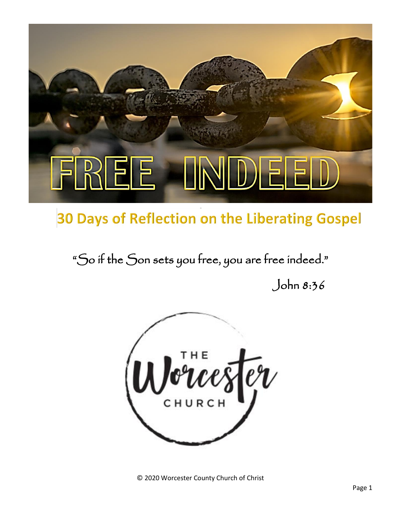

### 30 Days of Reflection on the Liberating Gospel

"So if the Son sets you free, you are free indeed."

John 8:36



© 2020 Worcester County Church of Christ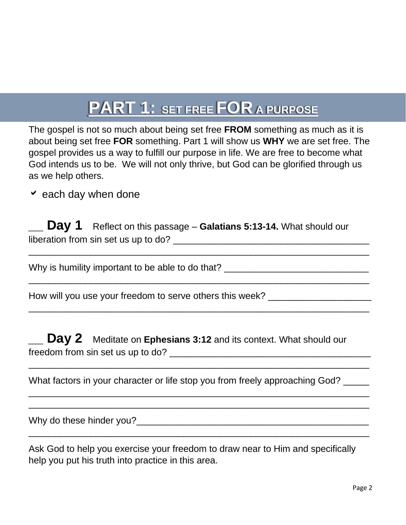## **PART 1: SET FREE FOR A PURPOSE**

The gospel is not so much about being set free **FROM** something as much as it is about being set free **FOR** something. Part 1 will show us **WHY** we are set free. The gospel provides us a way to fulfill our purpose in life. We are free to become what God intends us to be. We will not only thrive, but God can be glorified through us as we help others.

 $\vee$  each day when done

**Day 1** Reflect on this passage – Galatians 5:13-14. What should our liberation from sin set us up to do? \_\_\_\_\_\_\_\_\_\_\_\_\_\_\_\_\_\_\_\_\_\_\_\_\_\_\_\_\_\_\_\_\_\_\_\_\_\_

\_\_\_\_\_\_\_\_\_\_\_\_\_\_\_\_\_\_\_\_\_\_\_\_\_\_\_\_\_\_\_\_\_\_\_\_\_\_\_\_\_\_\_\_\_\_\_\_\_\_\_\_\_\_\_\_\_\_\_\_\_\_\_\_\_\_

 $\overline{\phantom{a}}$  , and the contract of the contract of the contract of the contract of the contract of the contract of the contract of the contract of the contract of the contract of the contract of the contract of the contrac

 $\overline{\phantom{a}}$  , and the contract of the contract of the contract of the contract of the contract of the contract of the contract of the contract of the contract of the contract of the contract of the contract of the contrac

 $\_$  , and the set of the set of the set of the set of the set of the set of the set of the set of the set of the set of the set of the set of the set of the set of the set of the set of the set of the set of the set of th

\_\_\_\_\_\_\_\_\_\_\_\_\_\_\_\_\_\_\_\_\_\_\_\_\_\_\_\_\_\_\_\_\_\_\_\_\_\_\_\_\_\_\_\_\_\_\_\_\_\_\_\_\_\_\_\_\_\_\_\_\_\_\_\_\_\_  $\overline{\phantom{a}}$  , and the contract of the contract of the contract of the contract of the contract of the contract of the contract of the contract of the contract of the contract of the contract of the contract of the contrac

 $\overline{\phantom{a}}$  , and the contract of the contract of the contract of the contract of the contract of the contract of the contract of the contract of the contract of the contract of the contract of the contract of the contrac

Why is humility important to be able to do that? \_\_\_\_\_\_\_\_\_\_\_\_\_\_\_\_\_\_\_\_\_\_\_\_\_\_\_\_\_\_\_

How will you use your freedom to serve others this week?

**Day 2** Meditate on **Ephesians 3:12** and its context. What should our freedom from sin set us up to do? <br>freedom from sin set us up to do?

What factors in your character or life stop you from freely approaching God?

Why do these hinder you?

Ask God to help you exercise your freedom to draw near to Him and specifically help you put his truth into practice in this area.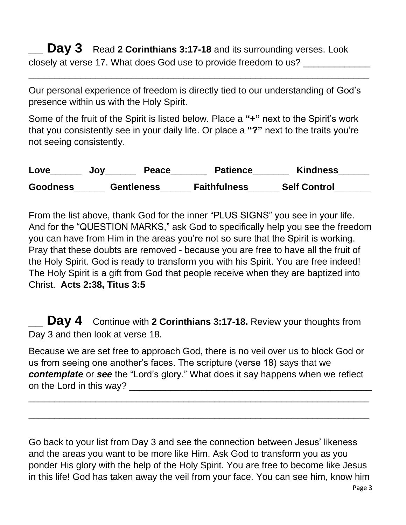**Day 3** Read 2 Corinthians 3:17-18 and its surrounding verses. Look closely at verse 17. What does God use to provide freedom to us? \_\_\_\_\_\_\_\_\_\_\_\_

Our personal experience of freedom is directly tied to our understanding of God's presence within us with the Holy Spirit.

 $\overline{\phantom{a}}$  , and the contract of the contract of the contract of the contract of the contract of the contract of the contract of the contract of the contract of the contract of the contract of the contract of the contrac

Some of the fruit of the Spirit is listed below. Place a **"+"** next to the Spirit's work that you consistently see in your daily life. Or place a **"?"** next to the traits you're not seeing consistently.

| Love            | Peace<br>JOV      | <b>Patience</b>     | <b>Kindness</b>     |
|-----------------|-------------------|---------------------|---------------------|
| <b>Goodness</b> | <b>Gentleness</b> | <b>Faithfulness</b> | <b>Self Control</b> |

From the list above, thank God for the inner "PLUS SIGNS" you see in your life. And for the "QUESTION MARKS," ask God to specifically help you see the freedom you can have from Him in the areas you're not so sure that the Spirit is working. Pray that these doubts are removed - because you are free to have all the fruit of the Holy Spirit. God is ready to transform you with his Spirit. You are free indeed! The Holy Spirit is a gift from God that people receive when they are baptized into Christ. **Acts 2:38, Titus 3:5**

**Day 4** Continue with 2 Corinthians 3:17-18. Review your thoughts from Day 3 and then look at verse 18.

Because we are set free to approach God, there is no veil over us to block God or us from seeing one another's faces. The scripture (verse 18) says that we *contemplate* or *see* the "Lord's glory." What does it say happens when we reflect on the Lord in this way?

\_\_\_\_\_\_\_\_\_\_\_\_\_\_\_\_\_\_\_\_\_\_\_\_\_\_\_\_\_\_\_\_\_\_\_\_\_\_\_\_\_\_\_\_\_\_\_\_\_\_\_\_\_\_\_\_\_\_\_\_\_\_\_\_\_\_

 $\overline{\phantom{a}}$  , and the contract of the contract of the contract of the contract of the contract of the contract of the contract of the contract of the contract of the contract of the contract of the contract of the contrac

Go back to your list from Day 3 and see the connection between Jesus' likeness and the areas you want to be more like Him. Ask God to transform you as you ponder His glory with the help of the Holy Spirit. You are free to become like Jesus in this life! God has taken away the veil from your face. You can see him, know him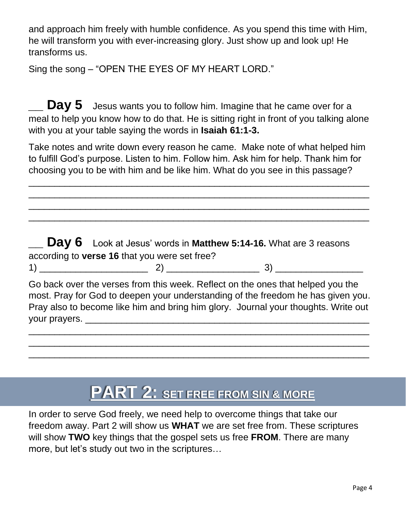and approach him freely with humble confidence. As you spend this time with Him, he will transform you with ever-increasing glory. Just show up and look up! He transforms us.

Sing the song – "OPEN THE EYES OF MY HEART LORD."

**Day 5** Jesus wants you to follow him. Imagine that he came over for a meal to help you know how to do that. He is sitting right in front of you talking alone with you at your table saying the words in **Isaiah 61:1-3.**

Take notes and write down every reason he came. Make note of what helped him to fulfill God's purpose. Listen to him. Follow him. Ask him for help. Thank him for choosing you to be with him and be like him. What do you see in this passage?

 $\overline{\phantom{a}}$  , and the contract of the contract of the contract of the contract of the contract of the contract of the contract of the contract of the contract of the contract of the contract of the contract of the contrac \_\_\_\_\_\_\_\_\_\_\_\_\_\_\_\_\_\_\_\_\_\_\_\_\_\_\_\_\_\_\_\_\_\_\_\_\_\_\_\_\_\_\_\_\_\_\_\_\_\_\_\_\_\_\_\_\_\_\_\_\_\_\_\_\_\_ \_\_\_\_\_\_\_\_\_\_\_\_\_\_\_\_\_\_\_\_\_\_\_\_\_\_\_\_\_\_\_\_\_\_\_\_\_\_\_\_\_\_\_\_\_\_\_\_\_\_\_\_\_\_\_\_\_\_\_\_\_\_\_\_\_\_  $\overline{\phantom{a}}$  , and the contract of the contract of the contract of the contract of the contract of the contract of the contract of the contract of the contract of the contract of the contract of the contract of the contrac

**\_\_ Day 6** Look at Jesus' words in **Matthew 5:14-16.** What are 3 reasons according to **verse 16** that you were set free? 1) \_\_\_\_\_\_\_\_\_\_\_\_\_\_\_\_\_\_\_\_\_ 2) \_\_\_\_\_\_\_\_\_\_\_\_\_\_\_\_\_\_ 3) \_\_\_\_\_\_\_\_\_\_\_\_\_\_\_\_\_ Go back over the verses from this week. Reflect on the ones that helped you the most. Pray for God to deepen your understanding of the freedom he has given you. Pray also to become like him and bring him glory. Journal your thoughts. Write out your prayers. \_\_\_\_\_\_\_\_\_\_\_\_\_\_\_\_\_\_\_\_\_\_\_\_\_\_\_\_\_\_\_\_\_\_\_\_\_\_\_\_\_\_\_\_\_\_\_\_\_\_\_\_\_\_\_

\_\_\_\_\_\_\_\_\_\_\_\_\_\_\_\_\_\_\_\_\_\_\_\_\_\_\_\_\_\_\_\_\_\_\_\_\_\_\_\_\_\_\_\_\_\_\_\_\_\_\_\_\_\_\_\_\_\_\_\_\_\_\_\_\_\_ \_\_\_\_\_\_\_\_\_\_\_\_\_\_\_\_\_\_\_\_\_\_\_\_\_\_\_\_\_\_\_\_\_\_\_\_\_\_\_\_\_\_\_\_\_\_\_\_\_\_\_\_\_\_\_\_\_\_\_\_\_\_\_\_\_\_  $\overline{\phantom{a}}$  , and the contract of the contract of the contract of the contract of the contract of the contract of the contract of the contract of the contract of the contract of the contract of the contract of the contrac

# **PART 2:** SET FREE FROM SIN & MORE

In order to serve God freely, we need help to overcome things that take our freedom away. Part 2 will show us **WHAT** we are set free from. These scriptures will show **TWO** key things that the gospel sets us free **FROM**. There are many more, but let's study out two in the scriptures…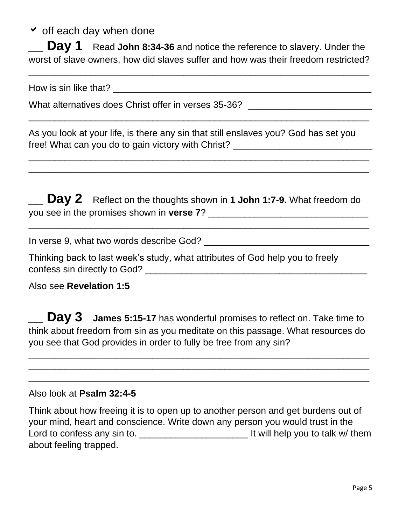$\overline{\phantom{a}}$  off each day when done

**Day 1** Read John 8:34-36 and notice the reference to slavery. Under the worst of slave owners, how did slaves suffer and how was their freedom restricted?

\_\_\_\_\_\_\_\_\_\_\_\_\_\_\_\_\_\_\_\_\_\_\_\_\_\_\_\_\_\_\_\_\_\_\_\_\_\_\_\_\_\_\_\_\_\_\_\_\_\_\_\_\_\_\_\_\_\_\_\_\_\_\_\_\_\_

\_\_\_\_\_\_\_\_\_\_\_\_\_\_\_\_\_\_\_\_\_\_\_\_\_\_\_\_\_\_\_\_\_\_\_\_\_\_\_\_\_\_\_\_\_\_\_\_\_\_\_\_\_\_\_\_\_\_\_\_\_\_\_\_\_\_

 $\overline{\phantom{a}}$  , and the contract of the contract of the contract of the contract of the contract of the contract of the contract of the contract of the contract of the contract of the contract of the contract of the contrac  $\overline{\phantom{a}}$  , and the contract of the contract of the contract of the contract of the contract of the contract of the contract of the contract of the contract of the contract of the contract of the contract of the contrac

How is sin like that? The state of the state of the state of the state of the state of the state of the state of the state of the state of the state of the state of the state of the state of the state of the state of the s

What alternatives does Christ offer in verses 35-36? [Contently alternatives does Christ offer in verses 35-36?]

As you look at your life, is there any sin that still enslaves you? God has set you free! What can you do to gain victory with Christ?

**Day 2** Reflect on the thoughts shown in 1 John 1:7-9. What freedom do you see in the promises shown in **verse 7**? \_\_\_\_\_\_\_\_\_\_\_\_\_\_\_\_\_\_\_\_\_\_\_\_\_\_\_\_\_\_\_

 $\overline{\phantom{a}}$  , and the contract of the contract of the contract of the contract of the contract of the contract of the contract of the contract of the contract of the contract of the contract of the contract of the contrac

In verse 9, what two words describe God? \_\_\_\_\_\_\_\_\_\_\_\_\_\_\_\_\_\_\_\_\_\_\_\_\_\_\_\_\_\_\_\_

Thinking back to last week's study, what attributes of God help you to freely confess sin directly to God? \_\_\_\_\_\_\_\_\_\_\_\_\_\_\_\_\_\_\_\_\_\_\_\_\_\_\_\_\_\_\_\_\_\_\_\_\_\_\_\_\_\_\_

Also see **Revelation 1:5**

**Day 3** James 5:15-17 has wonderful promises to reflect on. Take time to think about freedom from sin as you meditate on this passage. What resources do you see that God provides in order to fully be free from any sin?

 $\overline{\phantom{a}}$  , and the contract of the contract of the contract of the contract of the contract of the contract of the contract of the contract of the contract of the contract of the contract of the contract of the contrac \_\_\_\_\_\_\_\_\_\_\_\_\_\_\_\_\_\_\_\_\_\_\_\_\_\_\_\_\_\_\_\_\_\_\_\_\_\_\_\_\_\_\_\_\_\_\_\_\_\_\_\_\_\_\_\_\_\_\_\_\_\_\_\_\_\_ \_\_\_\_\_\_\_\_\_\_\_\_\_\_\_\_\_\_\_\_\_\_\_\_\_\_\_\_\_\_\_\_\_\_\_\_\_\_\_\_\_\_\_\_\_\_\_\_\_\_\_\_\_\_\_\_\_\_\_\_\_\_\_\_\_\_

#### Also look at **Psalm 32:4-5**

Think about how freeing it is to open up to another person and get burdens out of your mind, heart and conscience. Write down any person you would trust in the Lord to confess any sin to. \_\_\_\_\_\_\_\_\_\_\_\_\_\_\_\_\_\_\_\_\_ It will help you to talk w/ them about feeling trapped.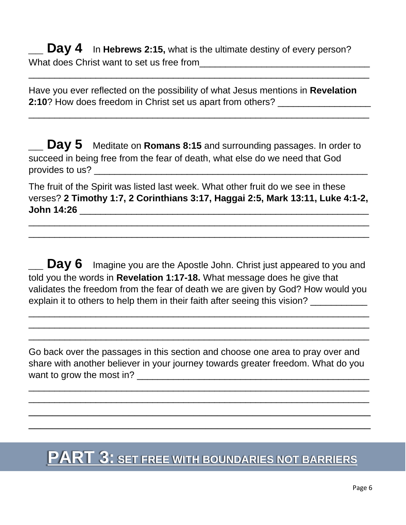**Day 4** In Hebrews 2:15, what is the ultimate destiny of every person? What does Christ want to set us free from **with the contract of the Christ** Christ and What does Christ and the set

Have you ever reflected on the possibility of what Jesus mentions in **Revelation 2:10**? How does freedom in Christ set us apart from others?

 $\overline{\phantom{a}}$  , and the contract of the contract of the contract of the contract of the contract of the contract of the contract of the contract of the contract of the contract of the contract of the contract of the contrac

\_\_\_\_\_\_\_\_\_\_\_\_\_\_\_\_\_\_\_\_\_\_\_\_\_\_\_\_\_\_\_\_\_\_\_\_\_\_\_\_\_\_\_\_\_\_\_\_\_\_\_\_\_\_\_\_\_\_\_\_\_\_\_\_\_\_

**\_\_ Day 5** Meditate on **Romans 8:15** and surrounding passages. In order to succeed in being free from the fear of death, what else do we need that God provides to us?

The fruit of the Spirit was listed last week. What other fruit do we see in these verses? **2 Timothy 1:7, 2 Corinthians 3:17, Haggai 2:5, Mark 13:11, Luke 4:1-2, John 14:26** \_\_\_\_\_\_\_\_\_\_\_\_\_\_\_\_\_\_\_\_\_\_\_\_\_\_\_\_\_\_\_\_\_\_\_\_\_\_\_\_\_\_\_\_\_\_\_\_\_\_\_\_\_\_\_\_

 $\overline{\phantom{a}}$  , and the contract of the contract of the contract of the contract of the contract of the contract of the contract of the contract of the contract of the contract of the contract of the contract of the contrac \_\_\_\_\_\_\_\_\_\_\_\_\_\_\_\_\_\_\_\_\_\_\_\_\_\_\_\_\_\_\_\_\_\_\_\_\_\_\_\_\_\_\_\_\_\_\_\_\_\_\_\_\_\_\_\_\_\_\_\_\_\_\_\_\_\_

**Day 6** Imagine you are the Apostle John. Christ just appeared to you and told you the words in **Revelation 1:17-18.** What message does he give that validates the freedom from the fear of death we are given by God? How would you explain it to others to help them in their faith after seeing this vision?

\_\_\_\_\_\_\_\_\_\_\_\_\_\_\_\_\_\_\_\_\_\_\_\_\_\_\_\_\_\_\_\_\_\_\_\_\_\_\_\_\_\_\_\_\_\_\_\_\_\_\_\_\_\_\_\_\_\_\_\_\_\_\_\_\_\_  $\overline{\phantom{a}}$  , and the contract of the contract of the contract of the contract of the contract of the contract of the contract of the contract of the contract of the contract of the contract of the contract of the contrac \_\_\_\_\_\_\_\_\_\_\_\_\_\_\_\_\_\_\_\_\_\_\_\_\_\_\_\_\_\_\_\_\_\_\_\_\_\_\_\_\_\_\_\_\_\_\_\_\_\_\_\_\_\_\_\_\_\_\_\_\_\_\_\_\_\_

Go back over the passages in this section and choose one area to pray over and share with another believer in your journey towards greater freedom. What do you want to grow the most in?

\_\_\_\_\_\_\_\_\_\_\_\_\_\_\_\_\_\_\_\_\_\_\_\_\_\_\_\_\_\_\_\_\_\_\_\_\_\_\_\_\_\_\_\_\_\_\_\_\_\_\_\_\_\_\_\_\_\_\_\_\_\_\_\_\_\_  $\overline{\phantom{a}}$  , and the contract of the contract of the contract of the contract of the contract of the contract of the contract of the contract of the contract of the contract of the contract of the contract of the contrac \_\_\_\_\_\_\_\_\_\_\_\_\_\_\_\_\_\_\_\_\_\_\_\_\_\_\_\_\_\_\_\_\_\_\_\_\_\_\_\_\_\_\_\_\_\_\_\_\_\_\_\_\_\_\_\_\_\_ \_\_\_\_\_\_\_\_\_\_\_\_\_\_\_\_\_\_\_\_\_\_\_\_\_\_\_\_\_\_\_\_\_\_\_\_\_\_\_\_\_\_\_\_\_\_\_\_\_\_\_\_\_\_\_\_\_\_

### **PART 3: SET FREE WITH BOUNDARIES NOT BARRIERS**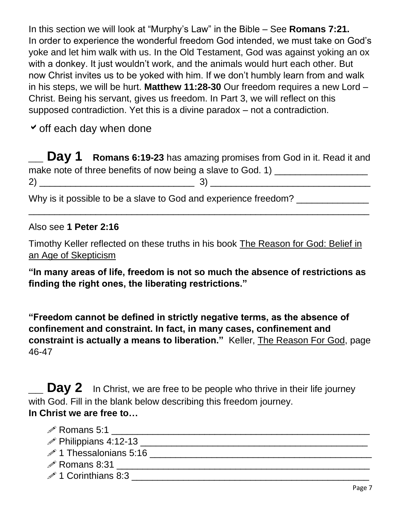In this section we will look at "Murphy's Law" in the Bible – See **Romans 7:21.**  In order to experience the wonderful freedom God intended, we must take on God's yoke and let him walk with us. In the Old Testament, God was against yoking an ox with a donkey. It just wouldn't work, and the animals would hurt each other. But now Christ invites us to be yoked with him. If we don't humbly learn from and walk in his steps, we will be hurt. **Matthew 11:28-30** Our freedom requires a new Lord – Christ. Being his servant, gives us freedom. In Part 3, we will reflect on this supposed contradiction. Yet this is a divine paradox – not a contradiction.

 $\checkmark$  off each day when done

**\_\_ Day 1 Romans 6:19-23** has amazing promises from God in it. Read it and make note of three benefits of now being a slave to God. 1) \_\_\_\_\_\_\_\_\_\_\_\_\_\_\_\_\_\_\_\_ 2) \_\_\_\_\_\_\_\_\_\_\_\_\_\_\_\_\_\_\_\_\_\_\_\_\_\_\_\_\_\_ 3) \_\_\_\_\_\_\_\_\_\_\_\_\_\_\_\_\_\_\_\_\_\_\_\_\_\_\_\_\_\_\_

 $\overline{\phantom{a}}$  , and the contract of the contract of the contract of the contract of the contract of the contract of the contract of the contract of the contract of the contract of the contract of the contract of the contrac

Why is it possible to be a slave to God and experience freedom?

Also see **1 Peter 2:16**

Timothy Keller reflected on these truths in his book The Reason for God: Belief in an Age of Skepticism

**"In many areas of life, freedom is not so much the absence of restrictions as finding the right ones, the liberating restrictions."**

**"Freedom cannot be defined in strictly negative terms, as the absence of confinement and constraint. In fact, in many cases, confinement and constraint is actually a means to liberation."** Keller, The Reason For God, page 46-47

**Day 2** In Christ, we are free to be people who thrive in their life journey with God. Fill in the blank below describing this freedom journey. **In Christ we are free to…**

| $\mathscr{P}$ Romans 5:1           |  |
|------------------------------------|--|
| $\mathscr{P}$ Philippians 4:12-13  |  |
| $\mathscr{P}$ 1 Thessalonians 5:16 |  |
| $\mathscr{P}$ Romans 8:31          |  |
| $\mathscr{P}$ 1 Corinthians 8:3    |  |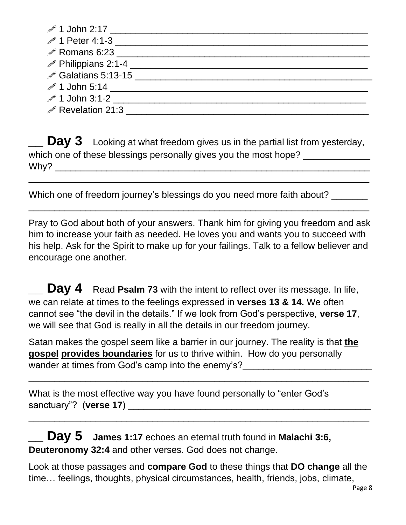| $\mathscr{P}$ 1 John 2:17                                |  |
|----------------------------------------------------------|--|
| $\mathscr{P}$ 1 Peter 4:1-3                              |  |
|                                                          |  |
| <b><i><u> <i>i</i></u></i></b> Philippians 2:1-4 _______ |  |
|                                                          |  |
|                                                          |  |
| $\mathscr{P}$ 1 John 3:1-2                               |  |
| $\mathscr{P}$ Revelation 21:3                            |  |

**Day 3** Looking at what freedom gives us in the partial list from yesterday, which one of these blessings personally gives you the most hope?  $W$ hy?

 $\overline{\phantom{a}}$  , and the contract of the contract of the contract of the contract of the contract of the contract of the contract of the contract of the contract of the contract of the contract of the contract of the contrac

 $\overline{\phantom{a}}$  , and the contract of the contract of the contract of the contract of the contract of the contract of the contract of the contract of the contract of the contract of the contract of the contract of the contrac

Which one of freedom journey's blessings do you need more faith about?

Pray to God about both of your answers. Thank him for giving you freedom and ask him to increase your faith as needed. He loves you and wants you to succeed with his help. Ask for the Spirit to make up for your failings. Talk to a fellow believer and encourage one another.

**Day 4** Read Psalm 73 with the intent to reflect over its message. In life, we can relate at times to the feelings expressed in **verses 13 & 14.** We often cannot see "the devil in the details." If we look from God's perspective, **verse 17**, we will see that God is really in all the details in our freedom journey.

Satan makes the gospel seem like a barrier in our journey. The reality is that **the gospel provides boundaries** for us to thrive within. How do you personally wander at times from God's camp into the enemy's?

 $\overline{\phantom{a}}$  , and the contract of the contract of the contract of the contract of the contract of the contract of the contract of the contract of the contract of the contract of the contract of the contract of the contrac

\_\_\_\_\_\_\_\_\_\_\_\_\_\_\_\_\_\_\_\_\_\_\_\_\_\_\_\_\_\_\_\_\_\_\_\_\_\_\_\_\_\_\_\_\_\_\_\_\_\_\_\_\_\_\_\_\_\_\_\_\_\_\_\_\_\_

What is the most effective way you have found personally to "enter God's sanctuary"? (verse 17)

**\_\_ Day 5 James 1:17** echoes an eternal truth found in **Malachi 3:6, Deuteronomy 32:4** and other verses. God does not change.

Look at those passages and **compare God** to these things that **DO change** all the time… feelings, thoughts, physical circumstances, health, friends, jobs, climate,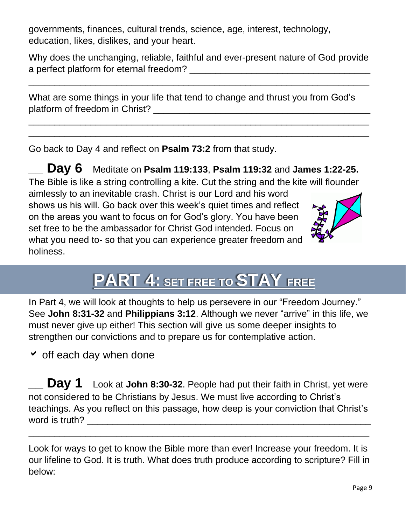governments, finances, cultural trends, science, age, interest, technology, education, likes, dislikes, and your heart.

Why does the unchanging, reliable, faithful and ever-present nature of God provide a perfect platform for eternal freedom? **Example 2018** 

\_\_\_\_\_\_\_\_\_\_\_\_\_\_\_\_\_\_\_\_\_\_\_\_\_\_\_\_\_\_\_\_\_\_\_\_\_\_\_\_\_\_\_\_\_\_\_\_\_\_\_\_\_\_\_\_\_\_\_\_\_\_\_\_\_\_

 $\overline{\phantom{a}}$  , and the contract of the contract of the contract of the contract of the contract of the contract of the contract of the contract of the contract of the contract of the contract of the contract of the contrac  $\overline{\phantom{a}}$  , and the contract of the contract of the contract of the contract of the contract of the contract of the contract of the contract of the contract of the contract of the contract of the contract of the contrac

| What are some things in your life that tend to change and thrust you from God's |  |
|---------------------------------------------------------------------------------|--|
| platform of freedom in Christ?                                                  |  |

Go back to Day 4 and reflect on **Psalm 73:2** from that study.

**\_\_ Day 6** Meditate on **Psalm 119:133**, **Psalm 119:32** and **James 1:22-25.**  The Bible is like a string controlling a kite. Cut the string and the kite will flounder aimlessly to an inevitable crash. Christ is our Lord and his word shows us his will. Go back over this week's quiet times and reflect on the areas you want to focus on for God's glory. You have been set free to be the ambassador for Christ God intended. Focus on what you need to- so that you can experience greater freedom and holiness.



**PART 4: SET FREE TO STAY FREE** 

In Part 4, we will look at thoughts to help us persevere in our "Freedom Journey." See **John 8:31-32** and **Philippians 3:12**. Although we never "arrive" in this life, we must never give up either! This section will give us some deeper insights to strengthen our convictions and to prepare us for contemplative action.

 $\overline{\phantom{a}}$  off each day when done

**Day 1** Look at **John 8:30-32**. People had put their faith in Christ, yet were not considered to be Christians by Jesus. We must live according to Christ's teachings. As you reflect on this passage, how deep is your conviction that Christ's word is truth? \_\_\_\_\_\_\_\_\_\_\_\_\_\_\_\_\_\_\_\_\_\_\_\_\_\_\_\_\_\_\_\_\_\_\_\_\_\_\_\_\_\_\_\_\_\_\_\_\_\_\_\_\_\_\_

Look for ways to get to know the Bible more than ever! Increase your freedom. It is our lifeline to God. It is truth. What does truth produce according to scripture? Fill in below:

 $\overline{\phantom{a}}$  , and the contract of the contract of the contract of the contract of the contract of the contract of the contract of the contract of the contract of the contract of the contract of the contract of the contrac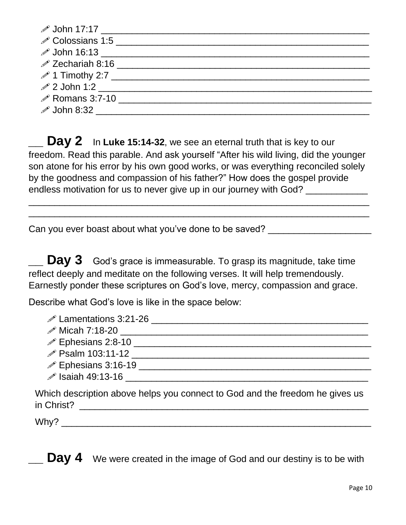| $\mathscr{P}$ John 17:17 $\qquad \qquad$            |  |
|-----------------------------------------------------|--|
|                                                     |  |
| <i>♪</i> John 16:13 _______________________________ |  |
|                                                     |  |
| $\mathscr{P}$ 1 Timothy 2:7                         |  |
|                                                     |  |
| $\mathscr{P}$ Romans 3:7-10                         |  |
| $\mathscr{P}$ John 8:32                             |  |

**Day 2** In Luke 15:14-32, we see an eternal truth that is key to our freedom. Read this parable. And ask yourself "After his wild living, did the younger son atone for his error by his own good works, or was everything reconciled solely by the goodness and compassion of his father?" How does the gospel provide endless motivation for us to never give up in our journey with God?

\_\_\_\_\_\_\_\_\_\_\_\_\_\_\_\_\_\_\_\_\_\_\_\_\_\_\_\_\_\_\_\_\_\_\_\_\_\_\_\_\_\_\_\_\_\_\_\_\_\_\_\_\_\_\_\_\_\_\_\_\_\_\_\_\_\_  $\overline{\phantom{a}}$  , and the contract of the contract of the contract of the contract of the contract of the contract of the contract of the contract of the contract of the contract of the contract of the contract of the contrac

Can you ever boast about what you've done to be saved? \_\_\_\_\_\_\_\_\_\_\_\_\_\_\_\_\_\_\_\_\_\_\_\_\_

**Day 3** God's grace is immeasurable. To grasp its magnitude, take time reflect deeply and meditate on the following verses. It will help tremendously. Earnestly ponder these scriptures on God's love, mercy, compassion and grace.

Describe what God's love is like in the space below:

| $\mathscr{P}$ Lamentations 3:21-26                                                         |
|--------------------------------------------------------------------------------------------|
| $\mathscr{P}$ Micah 7:18-20                                                                |
| $\mathscr{P}$ Ephesians 2:8-10                                                             |
| <i><b>∕</b></i> Psalm 103:11-12                                                            |
| <b><i><i></i></i></b> Ephesians 3:16-19 _______                                            |
| <b><i><i>●</i></i></b> Isaiah 49:13-16 ______                                              |
| Which description above helps you connect to God and the freedom he gives us<br>in Christ? |

 $W$ hy?

**Day 4** We were created in the image of God and our destiny is to be with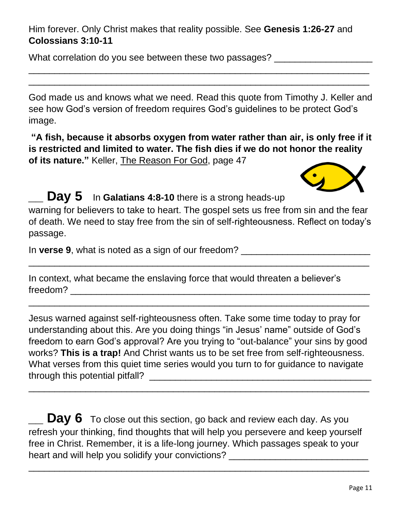Him forever. Only Christ makes that reality possible. See **Genesis 1:26-27** and **Colossians 3:10-11**

What correlation do you see between these two passages?

God made us and knows what we need. Read this quote from Timothy J. Keller and see how God's version of freedom requires God's guidelines to be protect God's image.

 $\overline{\phantom{a}}$  , and the contract of the contract of the contract of the contract of the contract of the contract of the contract of the contract of the contract of the contract of the contract of the contract of the contrac  $\_$  , and the set of the set of the set of the set of the set of the set of the set of the set of the set of the set of the set of the set of the set of the set of the set of the set of the set of the set of the set of th

**"A fish, because it absorbs oxygen from water rather than air, is only free if it is restricted and limited to water. The fish dies if we do not honor the reality of its nature."** Keller, The Reason For God, page 47



**Day 5** In Galatians 4:8-10 there is a strong heads-up warning for believers to take to heart. The gospel sets us free from sin and the fear of death. We need to stay free from the sin of self-righteousness. Reflect on today's passage.

 $\overline{\phantom{a}}$  , and the contract of the contract of the contract of the contract of the contract of the contract of the contract of the contract of the contract of the contract of the contract of the contract of the contrac

 $\overline{\phantom{a}}$  , and the contract of the contract of the contract of the contract of the contract of the contract of the contract of the contract of the contract of the contract of the contract of the contract of the contrac

In **verse 9**, what is noted as a sign of our freedom?

In context, what became the enslaving force that would threaten a believer's freedom? \_\_\_\_\_\_\_\_\_\_\_\_\_\_\_\_\_\_\_\_\_\_\_\_\_\_\_\_\_\_\_\_\_\_\_\_\_\_\_\_\_\_\_\_\_\_\_\_\_\_\_\_\_\_\_\_\_\_

Jesus warned against self-righteousness often. Take some time today to pray for understanding about this. Are you doing things "in Jesus' name" outside of God's freedom to earn God's approval? Are you trying to "out-balance" your sins by good works? **This is a trap!** And Christ wants us to be set free from self-righteousness. What verses from this quiet time series would you turn to for guidance to navigate through this potential pitfall? \_\_\_\_\_\_\_\_\_\_\_\_\_\_\_\_\_\_\_\_\_\_\_\_\_\_\_\_\_\_\_\_\_\_\_\_\_\_\_\_\_\_\_

 $\overline{\phantom{a}}$  , and the contract of the contract of the contract of the contract of the contract of the contract of the contract of the contract of the contract of the contract of the contract of the contract of the contrac

 $\quad \_$  **Day 6** To close out this section, go back and review each day. As you refresh your thinking, find thoughts that will help you persevere and keep yourself free in Christ. Remember, it is a life-long journey. Which passages speak to your heart and will help you solidify your convictions? \_\_\_\_\_\_\_\_\_\_\_\_\_\_\_\_\_\_\_\_\_\_\_\_\_\_\_\_\_

 $\overline{\phantom{a}}$  , and the contract of the contract of the contract of the contract of the contract of the contract of the contract of the contract of the contract of the contract of the contract of the contract of the contrac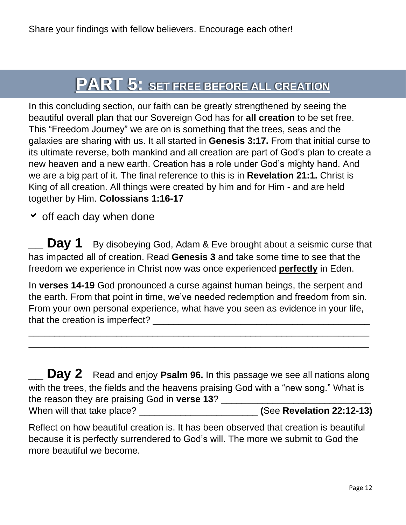## **PART 5: SET FREE BEFORE ALL CREATION**

In this concluding section, our faith can be greatly strengthened by seeing the beautiful overall plan that our Sovereign God has for **all creation** to be set free. This "Freedom Journey" we are on is something that the trees, seas and the galaxies are sharing with us. It all started in **Genesis 3:17.** From that initial curse to its ultimate reverse, both mankind and all creation are part of God's plan to create a new heaven and a new earth. Creation has a role under God's mighty hand. And we are a big part of it. The final reference to this is in **Revelation 21:1.** Christ is King of all creation. All things were created by him and for Him - and are held together by Him. **Colossians 1:16-17**

 $\overline{\phantom{a}}$  off each day when done

**Day 1** By disobeying God, Adam & Eve brought about a seismic curse that has impacted all of creation. Read **Genesis 3** and take some time to see that the freedom we experience in Christ now was once experienced **perfectly** in Eden.

In **verses 14-19** God pronounced a curse against human beings, the serpent and the earth. From that point in time, we've needed redemption and freedom from sin. From your own personal experience, what have you seen as evidence in your life, that the creation is imperfect? \_\_\_\_\_\_\_\_\_\_\_\_\_\_\_\_\_\_\_\_\_\_\_\_\_\_\_\_\_\_\_\_\_\_\_\_\_\_\_\_\_\_

 $\overline{\phantom{a}}$  , and the contract of the contract of the contract of the contract of the contract of the contract of the contract of the contract of the contract of the contract of the contract of the contract of the contrac  $\overline{\phantom{a}}$  , and the contract of the contract of the contract of the contract of the contract of the contract of the contract of the contract of the contract of the contract of the contract of the contract of the contrac

**Day 2** Read and enjoy Psalm 96. In this passage we see all nations along with the trees, the fields and the heavens praising God with a "new song." What is the reason they are praising God in **verse 13**? When will that take place? \_\_\_\_\_\_\_\_\_\_\_\_\_\_\_\_\_\_\_\_\_\_\_ **(**See **Revelation 22:12-13)**

Reflect on how beautiful creation is. It has been observed that creation is beautiful because it is perfectly surrendered to God's will. The more we submit to God the more beautiful we become.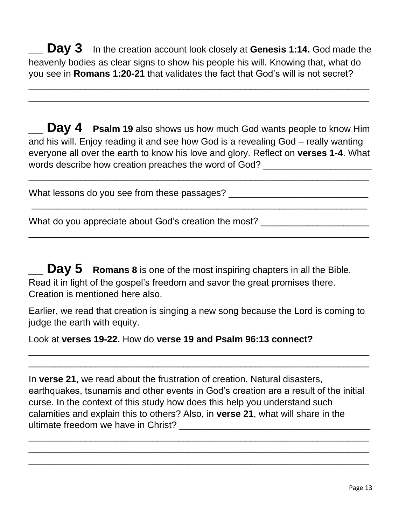**Day 3** In the creation account look closely at Genesis 1:14. God made the heavenly bodies as clear signs to show his people his will. Knowing that, what do you see in **Romans 1:20-21** that validates the fact that God's will is not secret?

\_\_\_\_\_\_\_\_\_\_\_\_\_\_\_\_\_\_\_\_\_\_\_\_\_\_\_\_\_\_\_\_\_\_\_\_\_\_\_\_\_\_\_\_\_\_\_\_\_\_\_\_\_\_\_\_\_\_\_\_\_\_\_\_\_\_  $\overline{\phantom{a}}$  , and the contract of the contract of the contract of the contract of the contract of the contract of the contract of the contract of the contract of the contract of the contract of the contract of the contrac

**Day 4** Psalm 19 also shows us how much God wants people to know Him and his will. Enjoy reading it and see how God is a revealing God – really wanting everyone all over the earth to know his love and glory. Reflect on **verses 1-4**. What words describe how creation preaches the word of God?

 $\overline{\phantom{a}}$  , and the contract of the contract of the contract of the contract of the contract of the contract of the contract of the contract of the contract of the contract of the contract of the contract of the contrac

-\_\_\_\_\_\_\_\_\_\_\_\_\_\_\_\_\_\_\_\_\_\_\_\_\_\_\_\_\_\_\_\_\_\_\_\_\_\_\_\_\_\_\_\_\_\_\_\_\_\_\_\_\_\_\_\_\_\_\_\_\_\_\_\_\_

\_\_\_\_\_\_\_\_\_\_\_\_\_\_\_\_\_\_\_\_\_\_\_\_\_\_\_\_\_\_\_\_\_\_\_\_\_\_\_\_\_\_\_\_\_\_\_\_\_\_\_\_\_\_\_\_\_\_\_\_\_\_\_\_\_\_

What lessons do you see from these passages? \_\_\_\_\_\_\_\_\_\_\_\_\_\_\_\_\_\_\_\_\_\_\_\_\_\_\_\_\_\_\_\_\_\_\_

What do you appreciate about God's creation the most? \_\_\_\_\_\_\_\_\_\_\_\_\_\_\_\_\_\_\_\_\_\_\_\_\_\_

**Day 5** Romans 8 is one of the most inspiring chapters in all the Bible. Read it in light of the gospel's freedom and savor the great promises there. Creation is mentioned here also.

Earlier, we read that creation is singing a new song because the Lord is coming to judge the earth with equity.

\_\_\_\_\_\_\_\_\_\_\_\_\_\_\_\_\_\_\_\_\_\_\_\_\_\_\_\_\_\_\_\_\_\_\_\_\_\_\_\_\_\_\_\_\_\_\_\_\_\_\_\_\_\_\_\_\_\_\_\_\_\_\_\_\_\_  $\overline{\phantom{a}}$  , and the contract of the contract of the contract of the contract of the contract of the contract of the contract of the contract of the contract of the contract of the contract of the contract of the contrac

Look at **verses 19-22.** How do **verse 19 and Psalm 96:13 connect?**

In **verse 21**, we read about the frustration of creation. Natural disasters, earthquakes, tsunamis and other events in God's creation are a result of the initial curse. In the context of this study how does this help you understand such calamities and explain this to others? Also, in **verse 21**, what will share in the ultimate freedom we have in Christ?

\_\_\_\_\_\_\_\_\_\_\_\_\_\_\_\_\_\_\_\_\_\_\_\_\_\_\_\_\_\_\_\_\_\_\_\_\_\_\_\_\_\_\_\_\_\_\_\_\_\_\_\_\_\_\_\_\_\_\_\_\_\_\_\_\_\_  $\overline{\phantom{a}}$  , and the contract of the contract of the contract of the contract of the contract of the contract of the contract of the contract of the contract of the contract of the contract of the contract of the contrac  $\overline{\phantom{a}}$  , and the contract of the contract of the contract of the contract of the contract of the contract of the contract of the contract of the contract of the contract of the contract of the contract of the contrac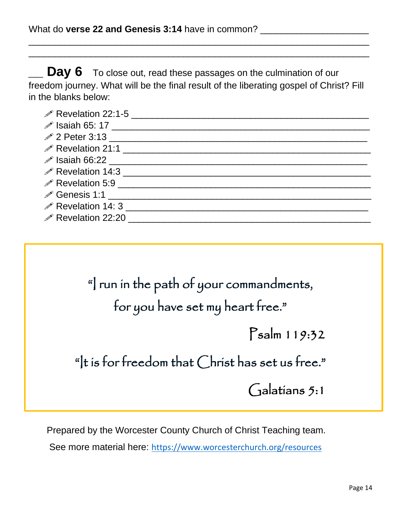**Day 6** To close out, read these passages on the culmination of our freedom journey. What will be the final result of the liberating gospel of Christ? Fill in the blanks below:

 $\overline{\phantom{a}}$  , and the contract of the contract of the contract of the contract of the contract of the contract of the contract of the contract of the contract of the contract of the contract of the contract of the contrac \_\_\_\_\_\_\_\_\_\_\_\_\_\_\_\_\_\_\_\_\_\_\_\_\_\_\_\_\_\_\_\_\_\_\_\_\_\_\_\_\_\_\_\_\_\_\_\_\_\_\_\_\_\_\_\_\_\_\_\_\_\_\_\_\_\_

| in Revelation 22:1-5 <u>[</u> 1994] Revelation 22:1-5 |
|-------------------------------------------------------|
|                                                       |
|                                                       |
| P Revelation 21:1                                     |
|                                                       |
|                                                       |
|                                                       |
|                                                       |
| $\mathscr{P}$ Revelation 14: 3                        |
| $\mathscr{P}$ Revelation 22:20                        |

"I run in the path of your commandments, for you have set my heart free." Psalm 119:32 "It is for freedom that Christ has set us free."

l.

Galatians 5:1

Prepared by the Worcester County Church of Christ Teaching team.

See more material here: <https://www.worcesterchurch.org/resources>